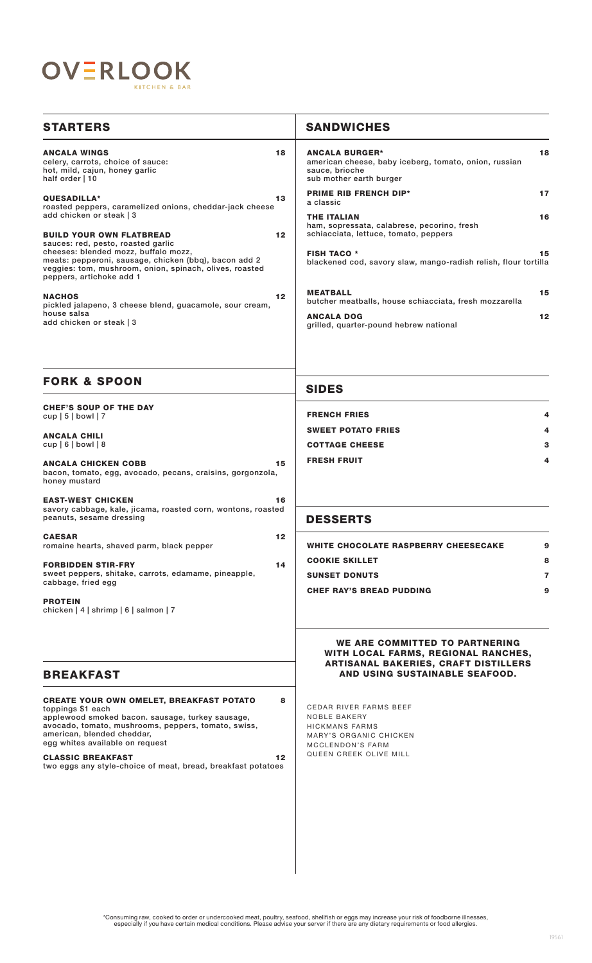

| <b>STARTERS</b>                                                                                                                                                                                                                                                                                                                              |                      | <b>SANDWICHES</b>                                                                                                                       |
|----------------------------------------------------------------------------------------------------------------------------------------------------------------------------------------------------------------------------------------------------------------------------------------------------------------------------------------------|----------------------|-----------------------------------------------------------------------------------------------------------------------------------------|
| <b>ANCALA WINGS</b><br>celery, carrots, choice of sauce:<br>hot, mild, cajun, honey garlic<br>half order   10                                                                                                                                                                                                                                | 18                   | <b>ANCALA BURGER*</b><br>18<br>american cheese, baby iceberg, tomato, onion, russian<br>sauce, brioche<br>sub mother earth burger       |
| QUESADILLA*<br>roasted peppers, caramelized onions, cheddar-jack cheese<br>add chicken or steak   3<br><b>BUILD YOUR OWN FLATBREAD</b>                                                                                                                                                                                                       | 13                   | <b>PRIME RIB FRENCH DIP*</b><br>17<br>a classic                                                                                         |
|                                                                                                                                                                                                                                                                                                                                              | 12                   | <b>THE ITALIAN</b><br>16<br>ham, sopressata, calabrese, pecorino, fresh<br>schiacciata, lettuce, tomato, peppers                        |
| sauces: red, pesto, roasted garlic<br>cheeses: blended mozz, buffalo mozz,<br>meats: pepperoni, sausage, chicken (bbq), bacon add 2<br>veggies: tom, mushroom, onion, spinach, olives, roasted<br>peppers, artichoke add 1                                                                                                                   |                      | <b>FISH TACO *</b><br>15<br>blackened cod, savory slaw, mango-radish relish, flour tortilla                                             |
| <b>NACHOS</b><br>pickled jalapeno, 3 cheese blend, guacamole, sour cream,                                                                                                                                                                                                                                                                    | 12 <sub>2</sub>      | <b>MEATBALL</b><br>15<br>butcher meatballs, house schiacciata, fresh mozzarella                                                         |
| house salsa<br>add chicken or steak   3                                                                                                                                                                                                                                                                                                      |                      | 12<br><b>ANCALA DOG</b><br>grilled, quarter-pound hebrew national                                                                       |
| <b>FORK &amp; SPOON</b>                                                                                                                                                                                                                                                                                                                      |                      | <b>SIDES</b>                                                                                                                            |
| <b>CHEF'S SOUP OF THE DAY</b><br>$cup   5  $ bowl   7                                                                                                                                                                                                                                                                                        |                      | <b>FRENCH FRIES</b>                                                                                                                     |
| <b>ANCALA CHILI</b>                                                                                                                                                                                                                                                                                                                          |                      | <b>SWEET POTATO FRIES</b>                                                                                                               |
| cup $ 6 $ bowl $ 8 $                                                                                                                                                                                                                                                                                                                         |                      | <b>COTTAGE CHEESE</b><br>З                                                                                                              |
| <b>ANCALA CHICKEN COBB</b><br>bacon, tomato, egg, avocado, pecans, craisins, gorgonzola,<br>honey mustard                                                                                                                                                                                                                                    | 15                   | <b>FRESH FRUIT</b><br>4                                                                                                                 |
| <b>EAST-WEST CHICKEN</b><br>savory cabbage, kale, jicama, roasted corn, wontons, roasted<br>peanuts, sesame dressing                                                                                                                                                                                                                         | 16                   | <b>DESSERTS</b>                                                                                                                         |
| <b>CAESAR</b><br>romaine hearts, shaved parm, black pepper                                                                                                                                                                                                                                                                                   | 12                   | <b>WHITE CHOCOLATE RASPBERRY CHEESECAKE</b><br>9                                                                                        |
| <b>FORBIDDEN STIR-FRY</b>                                                                                                                                                                                                                                                                                                                    | 14                   | 8<br><b>COOKIE SKILLET</b>                                                                                                              |
| sweet peppers, shitake, carrots, edamame, pineapple,<br>cabbage, fried egg                                                                                                                                                                                                                                                                   |                      | <b>SUNSET DONUTS</b><br>7                                                                                                               |
| <b>PROTEIN</b><br>chicken   4   shrimp   6   salmon   7                                                                                                                                                                                                                                                                                      |                      | <b>CHEF RAY'S BREAD PUDDING</b><br>9                                                                                                    |
|                                                                                                                                                                                                                                                                                                                                              |                      | WE ARE COMMITTED TO PARTNERING<br>WITH LOCAL FARMS, REGIONAL RANCHES,<br><b>ARTISANAL BAKERIES, CRAFT DISTILLERS</b>                    |
| <b>BREAKFAST</b>                                                                                                                                                                                                                                                                                                                             |                      | AND USING SUSTAINABLE SEAFOOD.                                                                                                          |
| <b>CREATE YOUR OWN OMELET, BREAKFAST POTATO</b><br>toppings \$1 each<br>applewood smoked bacon. sausage, turkey sausage,<br>avocado, tomato, mushrooms, peppers, tomato, swiss,<br>american, blended cheddar,<br>egg whites available on request<br><b>CLASSIC BREAKFAST</b><br>two eggs any style-choice of meat, bread, breakfast potatoes | 8<br>12 <sub>1</sub> | <b>CEDAR RIVER FARMS BEEF</b><br>NOBLE BAKERY<br>HICKMANS FARMS<br>MARY'S ORGANIC CHICKEN<br>MCCLENDON'S FARM<br>QUEEN CREEK OLIVE MILL |
|                                                                                                                                                                                                                                                                                                                                              |                      |                                                                                                                                         |